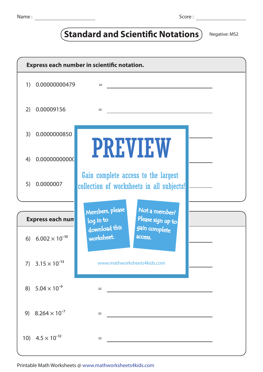## **Standard and Scientific Notations** Negative: MS2

| Express each number in scientific notation. |                            |                                                                                  |  |  |  |  |  |  |
|---------------------------------------------|----------------------------|----------------------------------------------------------------------------------|--|--|--|--|--|--|
| 1)                                          | 0.00000000479              | $=$                                                                              |  |  |  |  |  |  |
| 2)                                          | 0.00009156                 | $=$                                                                              |  |  |  |  |  |  |
| 3)                                          | 0.0000000850               |                                                                                  |  |  |  |  |  |  |
| 4)                                          | 0.00000000000              | <b>PREVIEW</b>                                                                   |  |  |  |  |  |  |
| 5)                                          | 0.0000007                  | Gain complete access to the largest<br>collection of worksheets in all subjects! |  |  |  |  |  |  |
|                                             |                            |                                                                                  |  |  |  |  |  |  |
| <b>Express each num</b>                     |                            | Members, please<br>Not a member?<br>Please sign up to<br>log in to               |  |  |  |  |  |  |
|                                             | 6) $6.002 \times 10^{-10}$ | download this<br>gain complete<br>worksheet.<br><b>ACCESS.</b>                   |  |  |  |  |  |  |
|                                             | 7) $3.15 \times 10^{-13}$  | www.mathworksheets4kids.com                                                      |  |  |  |  |  |  |
|                                             | 8) $5.04 \times 10^{-9}$   |                                                                                  |  |  |  |  |  |  |
|                                             | 9) $8.264 \times 10^{-7}$  | =                                                                                |  |  |  |  |  |  |
|                                             | 10) $4.5 \times 10^{-12}$  | =                                                                                |  |  |  |  |  |  |

Printable Math Worksheets @ www.mathworksheets4kids.com